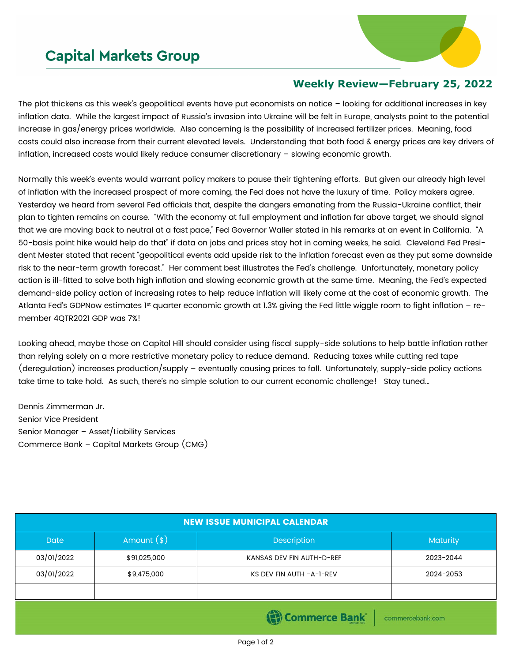## **Capital Markets Group**



## **Weekly Review—February 25, 2022**

The plot thickens as this week's geopolitical events have put economists on notice – looking for additional increases in key inflation data. While the largest impact of Russia's invasion into Ukraine will be felt in Europe, analysts point to the potential increase in gas/energy prices worldwide. Also concerning is the possibility of increased fertilizer prices. Meaning, food costs could also increase from their current elevated levels. Understanding that both food & energy prices are key drivers of inflation, increased costs would likely reduce consumer discretionary – slowing economic growth.

Normally this week's events would warrant policy makers to pause their tightening efforts. But given our already high level of inflation with the increased prospect of more coming, the Fed does not have the luxury of time. Policy makers agree. Yesterday we heard from several Fed officials that, despite the dangers emanating from the Russia-Ukraine conflict, their plan to tighten remains on course. "With the economy at full employment and inflation far above target, we should signal that we are moving back to neutral at a fast pace," Fed Governor Waller stated in his remarks at an event in California. "A 50-basis point hike would help do that" if data on jobs and prices stay hot in coming weeks, he said. Cleveland Fed President Mester stated that recent "geopolitical events add upside risk to the inflation forecast even as they put some downside risk to the near-term growth forecast." Her comment best illustrates the Fed's challenge. Unfortunately, monetary policy action is ill-fitted to solve both high inflation and slowing economic growth at the same time. Meaning, the Fed's expected demand-side policy action of increasing rates to help reduce inflation will likely come at the cost of economic growth. The Atlanta Fed's GDPNow estimates 1<sup>st</sup> quarter economic growth at 1.3% giving the Fed little wiggle room to fight inflation - remember 4QTR2021 GDP was 7%!

Looking ahead, maybe those on Capitol Hill should consider using fiscal supply-side solutions to help battle inflation rather than relying solely on a more restrictive monetary policy to reduce demand. Reducing taxes while cutting red tape (deregulation) increases production/supply – eventually causing prices to fall. Unfortunately, supply-side policy actions take time to take hold. As such, there's no simple solution to our current economic challenge! Stay tuned…

Dennis Zimmerman Jr. Senior Vice President Senior Manager – Asset/Liability Services Commerce Bank – Capital Markets Group (CMG)

| <b>NEW ISSUE MUNICIPAL CALENDAR</b> |              |                           |           |  |  |
|-------------------------------------|--------------|---------------------------|-----------|--|--|
| <b>Date</b>                         | Amount $(*)$ | Description               | Maturity  |  |  |
| 03/01/2022                          | \$91,025,000 | KANSAS DEV FIN AUTH-D-REF | 2023-2044 |  |  |
| 03/01/2022                          | \$9,475,000  | KS DEV FIN AUTH - A-1-REV | 2024-2053 |  |  |
|                                     |              |                           |           |  |  |
| Commerce Bank<br>commercebank.com   |              |                           |           |  |  |